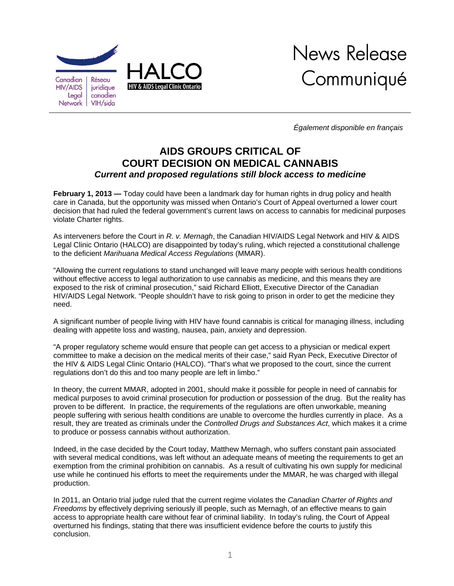

*Également disponible en français* 

## **AIDS GROUPS CRITICAL OF COURT DECISION ON MEDICAL CANNABIS**  *Current and proposed regulations still block access to medicine*

**February 1, 2013 —** Today could have been a landmark day for human rights in drug policy and health care in Canada, but the opportunity was missed when Ontario's Court of Appeal overturned a lower court decision that had ruled the federal government's current laws on access to cannabis for medicinal purposes violate Charter rights.

As interveners before the Court in *R. v. Mernagh*, the Canadian HIV/AIDS Legal Network and HIV & AIDS Legal Clinic Ontario (HALCO) are disappointed by today's ruling, which rejected a constitutional challenge to the deficient *Marihuana Medical Access Regulations* (MMAR).

"Allowing the current regulations to stand unchanged will leave many people with serious health conditions without effective access to legal authorization to use cannabis as medicine, and this means they are exposed to the risk of criminal prosecution," said Richard Elliott, Executive Director of the Canadian HIV/AIDS Legal Network. "People shouldn't have to risk going to prison in order to get the medicine they need.

A significant number of people living with HIV have found cannabis is critical for managing illness, including dealing with appetite loss and wasting, nausea, pain, anxiety and depression.

"A proper regulatory scheme would ensure that people can get access to a physician or medical expert committee to make a decision on the medical merits of their case," said Ryan Peck, Executive Director of the HIV & AIDS Legal Clinic Ontario (HALCO). "That's what we proposed to the court, since the current regulations don't do this and too many people are left in limbo."

In theory, the current MMAR, adopted in 2001, should make it possible for people in need of cannabis for medical purposes to avoid criminal prosecution for production or possession of the drug. But the reality has proven to be different. In practice, the requirements of the regulations are often unworkable, meaning people suffering with serious health conditions are unable to overcome the hurdles currently in place. As a result, they are treated as criminals under the *Controlled Drugs and Substances Act*, which makes it a crime to produce or possess cannabis without authorization.

Indeed, in the case decided by the Court today, Matthew Mernagh, who suffers constant pain associated with several medical conditions, was left without an adequate means of meeting the requirements to get an exemption from the criminal prohibition on cannabis. As a result of cultivating his own supply for medicinal use while he continued his efforts to meet the requirements under the MMAR, he was charged with illegal production.

In 2011, an Ontario trial judge ruled that the current regime violates the *Canadian Charter of Rights and Freedoms* by effectively depriving seriously ill people, such as Mernagh, of an effective means to gain access to appropriate health care without fear of criminal liability. In today's ruling, the Court of Appeal overturned his findings, stating that there was insufficient evidence before the courts to justify this conclusion.